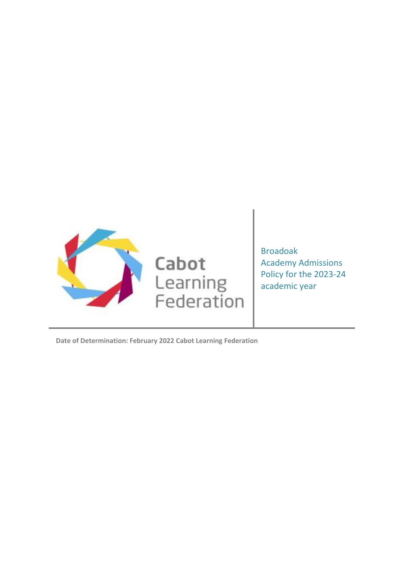

Broadoak Academy Admissions Policy for the 2023-24 academic year

**Date of Determination: February 2022 Cabot Learning Federation**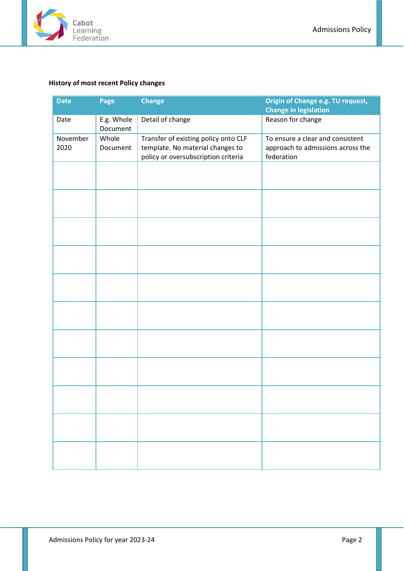

# <span id="page-1-0"></span>**History of most recent Policy changes**

| <b>Date</b>      | Page                                                                                                                                               | <b>Change</b>    | Origin of Change e.g. TU request,<br><b>Change in legislation</b>     |
|------------------|----------------------------------------------------------------------------------------------------------------------------------------------------|------------------|-----------------------------------------------------------------------|
| Date             | E.g. Whole<br>Document                                                                                                                             | Detail of change | Reason for change                                                     |
| November<br>2020 | Whole<br>Transfer of existing policy onto CLF<br>template. No material changes to<br>Document<br>policy or oversubscription criteria<br>federation |                  | To ensure a clear and consistent<br>approach to admissions across the |
|                  |                                                                                                                                                    |                  |                                                                       |
|                  |                                                                                                                                                    |                  |                                                                       |
|                  |                                                                                                                                                    |                  |                                                                       |
|                  |                                                                                                                                                    |                  |                                                                       |
|                  |                                                                                                                                                    |                  |                                                                       |
|                  |                                                                                                                                                    |                  |                                                                       |
|                  |                                                                                                                                                    |                  |                                                                       |
|                  |                                                                                                                                                    |                  |                                                                       |
|                  |                                                                                                                                                    |                  |                                                                       |
|                  |                                                                                                                                                    |                  |                                                                       |
|                  |                                                                                                                                                    |                  |                                                                       |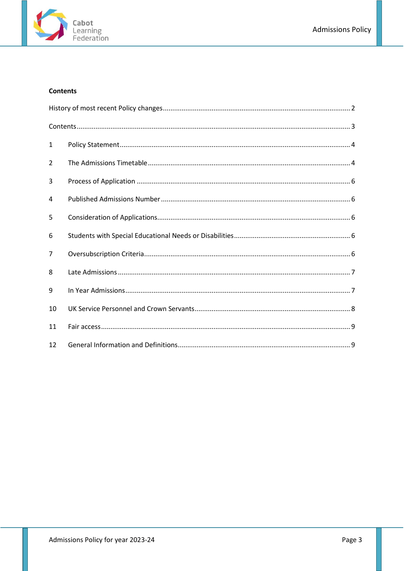

# <span id="page-2-0"></span>**Contents**

| $\mathbf{1}$ |  |
|--------------|--|
| 2            |  |
| 3            |  |
| 4            |  |
| 5            |  |
| 6            |  |
| 7            |  |
| 8            |  |
| 9            |  |
| 10           |  |
| 11           |  |
| 12           |  |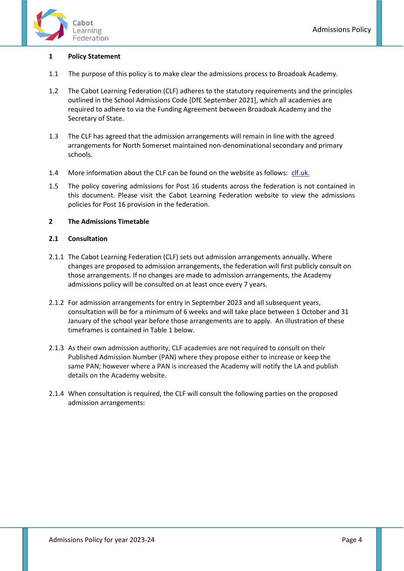



# <span id="page-3-0"></span>**1 Policy Statement**

- 1.1 The purpose of this policy is to make clear the admissions process to Broadoak Academy.
- 1.2 The Cabot Learning Federation (CLF) adheres to the statutory requirements and the principles outlined in the School Admissions Code [DfE September 2021], which all academies are required to adhere to via the Funding Agreement between Broadoak Academy and the Secretary of State.
- 1.3 The CLF has agreed that the admission arrangements will remain in line with the agreed arrangements for North Somerset maintained non-denominational secondary and primary schools.
- 1.4 More information about the CLF can be found on the website as follows: [clf.uk.](https://clf.uk/)
- 1.5 The policy covering admissions for Post 16 students across the federation is not contained in this document. Please visit the Cabot Learning Federation website to view the admissions policies for Post 16 provision in the federation.

## <span id="page-3-1"></span>**2 The Admissions Timetable**

## **2.1 Consultation**

- 2.1.1 The Cabot Learning Federation (CLF) sets out admission arrangements annually. Where changes are proposed to admission arrangements, the federation will first publicly consult on those arrangements. If no changes are made to admission arrangements, the Academy admissions policy will be consulted on at least once every 7 years.
- 2.1.2 For admission arrangements for entry in September 2023 and all subsequent years, consultation will be for a minimum of 6 weeks and will take place between 1 October and 31 January of the school year before those arrangements are to apply. An illustration of these timeframes is contained in Table 1 below.
- 2.1.3 As their own admission authority, CLF academies are not required to consult on their Published Admission Number (PAN) where they propose either to increase or keep the same PAN; however where a PAN is increased the Academy will notify the LA and publish details on the Academy website.
- 2.1.4 When consultation is required, the CLF will consult the following parties on the proposed admission arrangements: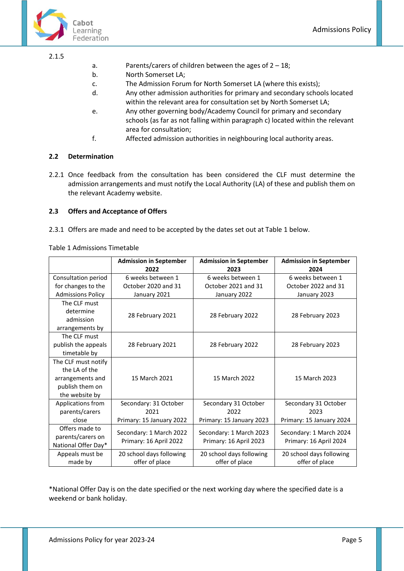

#### 2.1.5

- a. Parents/carers of children between the ages of 2 18;
- b. North Somerset LA;
- c. The Admission Forum for North Somerset LA (where this exists);
- d. Any other admission authorities for primary and secondary schools located within the relevant area for consultation set by North Somerset LA;
- e. Any other governing body/Academy Council for primary and secondary schools (as far as not falling within paragraph c) located within the relevant area for consultation;
- f. Affected admission authorities in neighbouring local authority areas.

## **2.2 Determination**

2.2.1 Once feedback from the consultation has been considered the CLF must determine the admission arrangements and must notify the Local Authority (LA) of these and publish them on the relevant Academy website.

## **2.3 Offers and Acceptance of Offers**

2.3.1 Offers are made and need to be accepted by the dates set out at Table 1 below.

Table 1 Admissions Timetable

|                          | <b>Admission in September</b><br>2022 | <b>Admission in September</b><br>2023 | <b>Admission in September</b><br>2024 |  |
|--------------------------|---------------------------------------|---------------------------------------|---------------------------------------|--|
| Consultation period      | 6 weeks between 1                     | 6 weeks between 1                     | 6 weeks between 1                     |  |
| for changes to the       | October 2020 and 31                   | October 2021 and 31                   | October 2022 and 31                   |  |
| <b>Admissions Policy</b> | January 2021                          | January 2022                          | January 2023                          |  |
| The CLF must             |                                       |                                       |                                       |  |
| determine                | 28 February 2021                      | 28 February 2022                      | 28 February 2023                      |  |
| admission                |                                       |                                       |                                       |  |
| arrangements by          |                                       |                                       |                                       |  |
| The CLF must             |                                       |                                       |                                       |  |
| publish the appeals      | 28 February 2021                      | 28 February 2022                      | 28 February 2023                      |  |
| timetable by             |                                       |                                       |                                       |  |
| The CLF must notify      |                                       |                                       |                                       |  |
| the LA of the            |                                       |                                       |                                       |  |
| arrangements and         | 15 March 2021                         | 15 March 2022                         | 15 March 2023                         |  |
| publish them on          |                                       |                                       |                                       |  |
| the website by           |                                       |                                       |                                       |  |
| Applications from        | Secondary: 31 October                 | Secondary 31 October                  | Secondary 31 October                  |  |
| parents/carers           | 2021                                  | 2022                                  | 2023                                  |  |
| close                    | Primary: 15 January 2022              | Primary: 15 January 2023              | Primary: 15 January 2024              |  |
| Offers made to           | Secondary: 1 March 2022               | Secondary: 1 March 2023               | Secondary: 1 March 2024               |  |
| parents/carers on        | Primary: 16 April 2022                |                                       | Primary: 16 April 2024                |  |
| National Offer Day*      |                                       | Primary: 16 April 2023                |                                       |  |
| Appeals must be          | 20 school days following              | 20 school days following              | 20 school days following              |  |
| made by                  | offer of place                        | offer of place                        | offer of place                        |  |

\*National Offer Day is on the date specified or the next working day where the specified date is a weekend or bank holiday.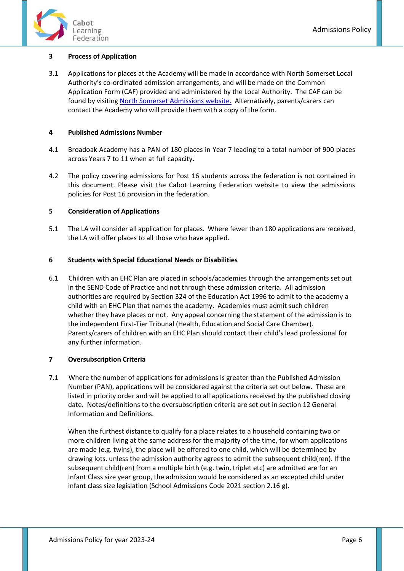

# <span id="page-5-0"></span>**3 Process of Application**

3.1 Applications for places at the Academy will be made in accordance with North Somerset Local Authority's co-ordinated admission arrangements, and will be made on the Common Application Form (CAF) provided and administered by the Local Authority. The CAF can be found by visitin[g North Somerset Admissions website.](https://www.n-somerset.gov.uk/my-services/schools-learning/school-admissions/applying-school-place) Alternatively, parents/carers can contact the Academy who will provide them with a copy of the form.

#### <span id="page-5-1"></span>**4 Published Admissions Number**

- 4.1 Broadoak Academy has a PAN of 180 places in Year 7 leading to a total number of 900 places across Years 7 to 11 when at full capacity.
- 4.2 The policy covering admissions for Post 16 students across the federation is not contained in this document. Please visit the Cabot Learning Federation website to view the admissions policies for Post 16 provision in the federation.

#### <span id="page-5-2"></span>**5 Consideration of Applications**

5.1 The LA will consider all application for places. Where fewer than 180 applications are received, the LA will offer places to all those who have applied.

#### <span id="page-5-3"></span>**6 Students with Special Educational Needs or Disabilities**

6.1 Children with an EHC Plan are placed in schools/academies through the arrangements set out in the SEND Code of Practice and not through these admission criteria. All admission authorities are required by Section 324 of the Education Act 1996 to admit to the academy a child with an EHC Plan that names the academy. Academies must admit such children whether they have places or not. Any appeal concerning the statement of the admission is to the independent First-Tier Tribunal (Health, Education and Social Care Chamber). Parents/carers of children with an EHC Plan should contact their child's lead professional for any further information.

#### <span id="page-5-4"></span>**7 Oversubscription Criteria**

7.1 Where the number of applications for admissions is greater than the Published Admission Number (PAN), applications will be considered against the criteria set out below. These are listed in priority order and will be applied to all applications received by the published closing date. Notes/definitions to the oversubscription criteria are set out in section 12 General Information and Definitions.

When the furthest distance to qualify for a place relates to a household containing two or more children living at the same address for the majority of the time, for whom applications are made (e.g. twins), the place will be offered to one child, which will be determined by drawing lots, unless the admission authority agrees to admit the subsequent child(ren). If the subsequent child(ren) from a multiple birth (e.g. twin, triplet etc) are admitted are for an Infant Class size year group, the admission would be considered as an excepted child under infant class size legislation (School Admissions Code 2021 section 2.16 g).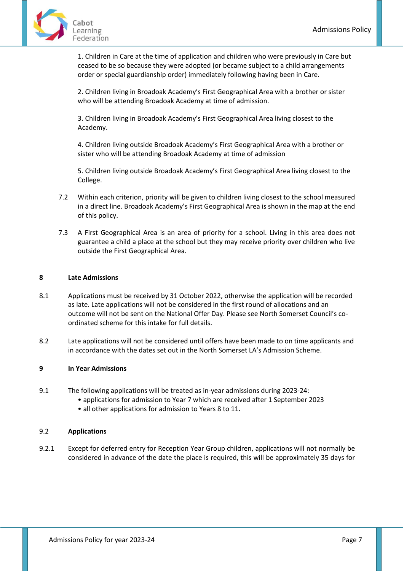

1. Children in Care at the time of application and children who were previously in Care but ceased to be so because they were adopted (or became subject to a child arrangements order or special guardianship order) immediately following having been in Care.

2. Children living in Broadoak Academy's First Geographical Area with a brother or sister who will be attending Broadoak Academy at time of admission.

3. Children living in Broadoak Academy's First Geographical Area living closest to the Academy.

4. Children living outside Broadoak Academy's First Geographical Area with a brother or sister who will be attending Broadoak Academy at time of admission

5. Children living outside Broadoak Academy's First Geographical Area living closest to the College.

- 7.2 Within each criterion, priority will be given to children living closest to the school measured in a direct line. Broadoak Academy's First Geographical Area is shown in the map at the end of this policy.
- 7.3 A First Geographical Area is an area of priority for a school. Living in this area does not guarantee a child a place at the school but they may receive priority over children who live outside the First Geographical Area.

# <span id="page-6-0"></span>**8 Late Admissions**

- 8.1 Applications must be received by 31 October 2022, otherwise the application will be recorded as late. Late applications will not be considered in the first round of allocations and an outcome will not be sent on the National Offer Day. Please see North Somerset Council's coordinated scheme for this intake for full details.
- 8.2 Late applications will not be considered until offers have been made to on time applicants and in accordance with the dates set out in the North Somerset LA's Admission Scheme.

#### <span id="page-6-1"></span>**9 In Year Admissions**

- 9.1 The following applications will be treated as in-year admissions during 2023-24:
	- applications for admission to Year 7 which are received after 1 September 2023
		- all other applications for admission to Years 8 to 11.

#### 9.2 **Applications**

9.2.1 Except for deferred entry for Reception Year Group children, applications will not normally be considered in advance of the date the place is required, this will be approximately 35 days for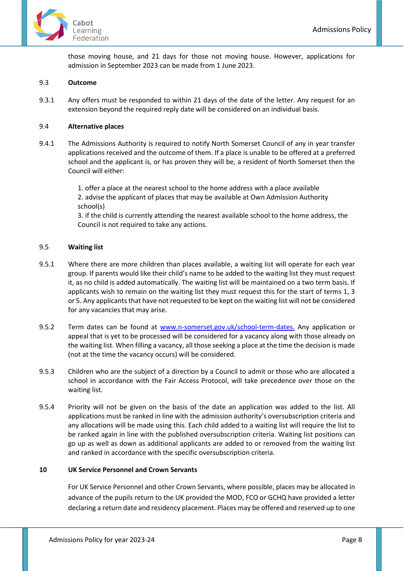

those moving house, and 21 days for those not moving house. However, applications for admission in September 2023 can be made from 1 June 2023.

#### 9.3 **Outcome**

9.3.1 Any offers must be responded to within 21 days of the date of the letter. Any request for an extension beyond the required reply date will be considered on an individual basis.

#### 9.4 **Alternative places**

9.4.1 The Admissions Authority is required to notify North Somerset Council of any in year transfer applications received and the outcome of them. If a place is unable to be offered at a preferred school and the applicant is, or has proven they will be, a resident of North Somerset then the Council will either:

> 1. offer a place at the nearest school to the home address with a place available 2. advise the applicant of places that may be available at Own Admission Authority school(s)

3. if the child is currently attending the nearest available school to the home address, the Council is not required to take any actions.

#### 9.5 **Waiting list**

- 9.5.1 Where there are more children than places available, a waiting list will operate for each year group. If parents would like their child's name to be added to the waiting list they must request it, as no child is added automatically. The waiting list will be maintained on a two term basis. If applicants wish to remain on the waiting list they must request this for the start of terms 1, 3 or 5. Any applicants that have not requested to be kept on the waiting list will not be considered for any vacancies that may arise.
- 9.5.2 Term dates can be found at [www.n-somerset.gov.uk/school-term-dates.](https://www.n-somerset.gov.uk/my-services/schools-learning/local-schools/school-term-dates) Any application or appeal that is yet to be processed will be considered for a vacancy along with those already on the waiting list. When filling a vacancy, all those seeking a place at the time the decision is made (not at the time the vacancy occurs) will be considered.
- 9.5.3 Children who are the subject of a direction by a Council to admit or those who are allocated a school in accordance with the Fair Access Protocol, will take precedence over those on the waiting list.
- 9.5.4 Priority will not be given on the basis of the date an application was added to the list. All applications must be ranked in line with the admission authority's oversubscription criteria and any allocations will be made using this. Each child added to a waiting list will require the list to be ranked again in line with the published oversubscription criteria. Waiting list positions can go up as well as down as additional applicants are added to or removed from the waiting list and ranked in accordance with the specific oversubscription criteria.

#### <span id="page-7-0"></span>**10 UK Service Personnel and Crown Servants**

For UK Service Personnel and other Crown Servants, where possible, places may be allocated in advance of the pupils return to the UK provided the MOD, FCO or GCHQ have provided a letter declaring a return date and residency placement. Places may be offered and reserved up to one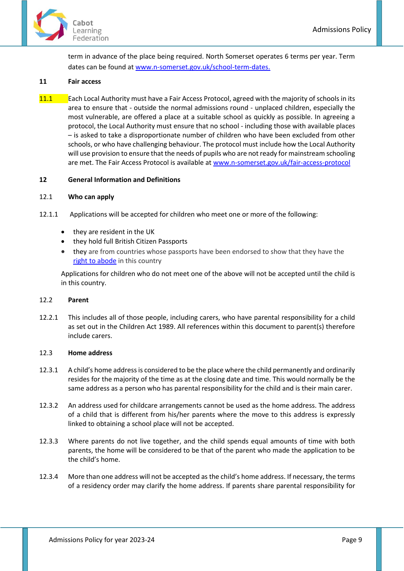

term in advance of the place being required. North Somerset operates 6 terms per year. Term dates can be found a[t www.n-somerset.gov.uk/school-term-dates.](https://www.n-somerset.gov.uk/my-services/schools-learning/local-schools/school-term-dates)

#### <span id="page-8-0"></span>**11 Fair access**

11.1 Each Local Authority must have a Fair Access Protocol, agreed with the majority of schools in its area to ensure that - outside the normal admissions round - unplaced children, especially the most vulnerable, are offered a place at a suitable school as quickly as possible. In agreeing a protocol, the Local Authority must ensure that no school - including those with available places – is asked to take a disproportionate number of children who have been excluded from other schools, or who have challenging behaviour. The protocol must include how the Local Authority will use provision to ensure that the needs of pupils who are not ready for mainstream schooling are met. The Fair Access Protocol is available at [www.n-somerset.gov.uk/fair-access-protocol](http://www.n-somerset.gov.uk/fair-access-protocol) 

#### <span id="page-8-1"></span>**12 General Information and Definitions**

#### 12.1 **Who can apply**

- 12.1.1 Applications will be accepted for children who meet one or more of the following:
	- they are resident in the UK
	- they hold full British Citizen Passports
	- they are from countries whose passports have been endorsed to show that they have the [right to abode](https://www.gov.uk/right-of-abode) in this country

Applications for children who do not meet one of the above will not be accepted until the child is in this country.

#### 12.2 **Parent**

12.2.1 This includes all of those people, including carers, who have parental responsibility for a child as set out in the Children Act 1989. All references within this document to parent(s) therefore include carers.

#### 12.3 **Home address**

- 12.3.1 A child's home address is considered to be the place where the child permanently and ordinarily resides for the majority of the time as at the closing date and time. This would normally be the same address as a person who has parental responsibility for the child and is their main carer.
- 12.3.2 An address used for childcare arrangements cannot be used as the home address. The address of a child that is different from his/her parents where the move to this address is expressly linked to obtaining a school place will not be accepted.
- 12.3.3 Where parents do not live together, and the child spends equal amounts of time with both parents, the home will be considered to be that of the parent who made the application to be the child's home.
- 12.3.4 More than one address will not be accepted as the child's home address. If necessary, the terms of a residency order may clarify the home address. If parents share parental responsibility for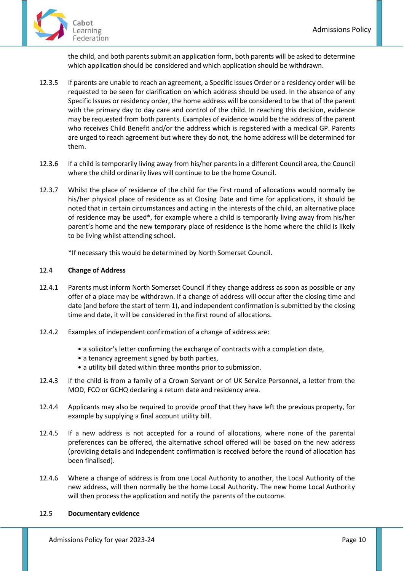

the child, and both parents submit an application form, both parents will be asked to determine which application should be considered and which application should be withdrawn.

- 12.3.5 If parents are unable to reach an agreement, a Specific Issues Order or a residency order will be requested to be seen for clarification on which address should be used. In the absence of any Specific Issues or residency order, the home address will be considered to be that of the parent with the primary day to day care and control of the child. In reaching this decision, evidence may be requested from both parents. Examples of evidence would be the address of the parent who receives Child Benefit and/or the address which is registered with a medical GP. Parents are urged to reach agreement but where they do not, the home address will be determined for them.
- 12.3.6 If a child is temporarily living away from his/her parents in a different Council area, the Council where the child ordinarily lives will continue to be the home Council.
- 12.3.7 Whilst the place of residence of the child for the first round of allocations would normally be his/her physical place of residence as at Closing Date and time for applications, it should be noted that in certain circumstances and acting in the interests of the child, an alternative place of residence may be used\*, for example where a child is temporarily living away from his/her parent's home and the new temporary place of residence is the home where the child is likely to be living whilst attending school.

\*If necessary this would be determined by North Somerset Council.

## 12.4 **Change of Address**

- 12.4.1 Parents must inform North Somerset Council if they change address as soon as possible or any offer of a place may be withdrawn. If a change of address will occur after the closing time and date (and before the start of term 1), and independent confirmation is submitted by the closing time and date, it will be considered in the first round of allocations.
- 12.4.2 Examples of independent confirmation of a change of address are:
	- a solicitor's letter confirming the exchange of contracts with a completion date,
	- a tenancy agreement signed by both parties,
	- a utility bill dated within three months prior to submission.
- 12.4.3 If the child is from a family of a Crown Servant or of UK Service Personnel, a letter from the MOD, FCO or GCHQ declaring a return date and residency area.
- 12.4.4 Applicants may also be required to provide proof that they have left the previous property, for example by supplying a final account utility bill.
- 12.4.5 If a new address is not accepted for a round of allocations, where none of the parental preferences can be offered, the alternative school offered will be based on the new address (providing details and independent confirmation is received before the round of allocation has been finalised).
- 12.4.6 Where a change of address is from one Local Authority to another, the Local Authority of the new address, will then normally be the home Local Authority. The new home Local Authority will then process the application and notify the parents of the outcome.

#### 12.5 **Documentary evidence**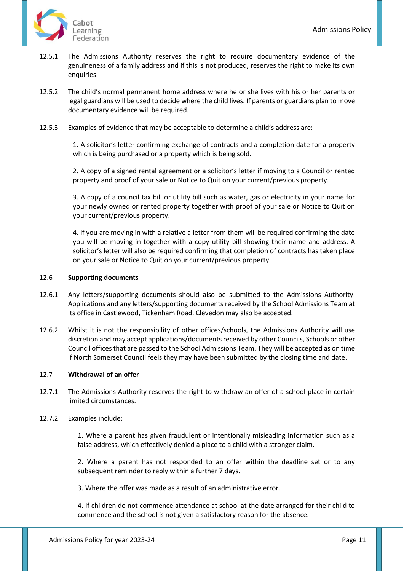- 12.5.1 The Admissions Authority reserves the right to require documentary evidence of the genuineness of a family address and if this is not produced, reserves the right to make its own enquiries.
- 12.5.2 The child's normal permanent home address where he or she lives with his or her parents or legal guardians will be used to decide where the child lives. If parents or guardians plan to move documentary evidence will be required.
- 12.5.3 Examples of evidence that may be acceptable to determine a child's address are:

1. A solicitor's letter confirming exchange of contracts and a completion date for a property which is being purchased or a property which is being sold.

2. A copy of a signed rental agreement or a solicitor's letter if moving to a Council or rented property and proof of your sale or Notice to Quit on your current/previous property.

3. A copy of a council tax bill or utility bill such as water, gas or electricity in your name for your newly owned or rented property together with proof of your sale or Notice to Quit on your current/previous property.

4. If you are moving in with a relative a letter from them will be required confirming the date you will be moving in together with a copy utility bill showing their name and address. A solicitor's letter will also be required confirming that completion of contracts has taken place on your sale or Notice to Quit on your current/previous property.

#### 12.6 **Supporting documents**

- 12.6.1 Any letters/supporting documents should also be submitted to the Admissions Authority. Applications and any letters/supporting documents received by the School Admissions Team at its office in Castlewood, Tickenham Road, Clevedon may also be accepted.
- 12.6.2 Whilst it is not the responsibility of other offices/schools, the Admissions Authority will use discretion and may accept applications/documents received by other Councils, Schools or other Council offices that are passed to the School Admissions Team. They will be accepted as on time if North Somerset Council feels they may have been submitted by the closing time and date.

#### 12.7 **Withdrawal of an offer**

12.7.1 The Admissions Authority reserves the right to withdraw an offer of a school place in certain limited circumstances.

#### 12.7.2 Examples include:

1. Where a parent has given fraudulent or intentionally misleading information such as a false address, which effectively denied a place to a child with a stronger claim.

2. Where a parent has not responded to an offer within the deadline set or to any subsequent reminder to reply within a further 7 days.

3. Where the offer was made as a result of an administrative error.

4. If children do not commence attendance at school at the date arranged for their child to commence and the school is not given a satisfactory reason for the absence.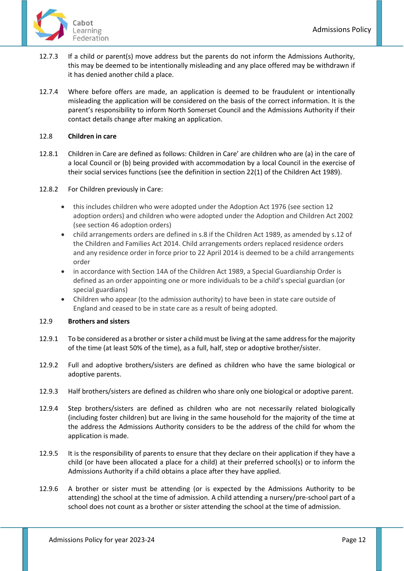

- 12.7.3 If a child or parent(s) move address but the parents do not inform the Admissions Authority, this may be deemed to be intentionally misleading and any place offered may be withdrawn if it has denied another child a place.
- 12.7.4 Where before offers are made, an application is deemed to be fraudulent or intentionally misleading the application will be considered on the basis of the correct information. It is the parent's responsibility to inform North Somerset Council and the Admissions Authority if their contact details change after making an application.

# 12.8 **Children in care**

- 12.8.1 Children in Care are defined as follows: Children in Care' are children who are (a) in the care of a local Council or (b) being provided with accommodation by a local Council in the exercise of their social services functions (see the definition in section 22(1) of the Children Act 1989).
- 12.8.2 For Children previously in Care:
	- this includes children who were adopted under the Adoption Act 1976 (see section 12 adoption orders) and children who were adopted under the Adoption and Children Act 2002 (see section 46 adoption orders)
	- child arrangements orders are defined in s.8 if the Children Act 1989, as amended by s.12 of the Children and Families Act 2014. Child arrangements orders replaced residence orders and any residence order in force prior to 22 April 2014 is deemed to be a child arrangements order
	- in accordance with Section 14A of the Children Act 1989, a Special Guardianship Order is defined as an order appointing one or more individuals to be a child's special guardian (or special guardians)
	- Children who appear (to the admission authority) to have been in state care outside of England and ceased to be in state care as a result of being adopted.

#### 12.9 **Brothers and sisters**

- 12.9.1 To be considered as a brother or sister a child must be living at the same address for the majority of the time (at least 50% of the time), as a full, half, step or adoptive brother/sister.
- 12.9.2 Full and adoptive brothers/sisters are defined as children who have the same biological or adoptive parents.
- 12.9.3 Half brothers/sisters are defined as children who share only one biological or adoptive parent.
- 12.9.4 Step brothers/sisters are defined as children who are not necessarily related biologically (including foster children) but are living in the same household for the majority of the time at the address the Admissions Authority considers to be the address of the child for whom the application is made.
- 12.9.5 It is the responsibility of parents to ensure that they declare on their application if they have a child (or have been allocated a place for a child) at their preferred school(s) or to inform the Admissions Authority if a child obtains a place after they have applied.
- 12.9.6 A brother or sister must be attending (or is expected by the Admissions Authority to be attending) the school at the time of admission. A child attending a nursery/pre-school part of a school does not count as a brother or sister attending the school at the time of admission.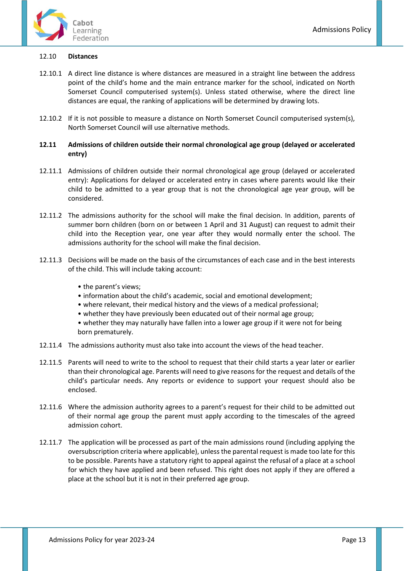

#### 12.10 **Distances**

- 12.10.1 A direct line distance is where distances are measured in a straight line between the address point of the child's home and the main entrance marker for the school, indicated on North Somerset Council computerised system(s). Unless stated otherwise, where the direct line distances are equal, the ranking of applications will be determined by drawing lots.
- 12.10.2 If it is not possible to measure a distance on North Somerset Council computerised system(s), North Somerset Council will use alternative methods.

#### **12.11 Admissions of children outside their normal chronological age group (delayed or accelerated entry)**

- 12.11.1 Admissions of children outside their normal chronological age group (delayed or accelerated entry): Applications for delayed or accelerated entry in cases where parents would like their child to be admitted to a year group that is not the chronological age year group, will be considered.
- 12.11.2 The admissions authority for the school will make the final decision. In addition, parents of summer born children (born on or between 1 April and 31 August) can request to admit their child into the Reception year, one year after they would normally enter the school. The admissions authority for the school will make the final decision.
- 12.11.3 Decisions will be made on the basis of the circumstances of each case and in the best interests of the child. This will include taking account:
	- the parent's views;
	- information about the child's academic, social and emotional development;
	- where relevant, their medical history and the views of a medical professional;
	- whether they have previously been educated out of their normal age group;

• whether they may naturally have fallen into a lower age group if it were not for being born prematurely.

- 12.11.4 The admissions authority must also take into account the views of the head teacher.
- 12.11.5 Parents will need to write to the school to request that their child starts a year later or earlier than their chronological age. Parents will need to give reasons for the request and details of the child's particular needs. Any reports or evidence to support your request should also be enclosed.
- 12.11.6 Where the admission authority agrees to a parent's request for their child to be admitted out of their normal age group the parent must apply according to the timescales of the agreed admission cohort.
- 12.11.7 The application will be processed as part of the main admissions round (including applying the oversubscription criteria where applicable), unless the parental request is made too late for this to be possible. Parents have a statutory right to appeal against the refusal of a place at a school for which they have applied and been refused. This right does not apply if they are offered a place at the school but it is not in their preferred age group.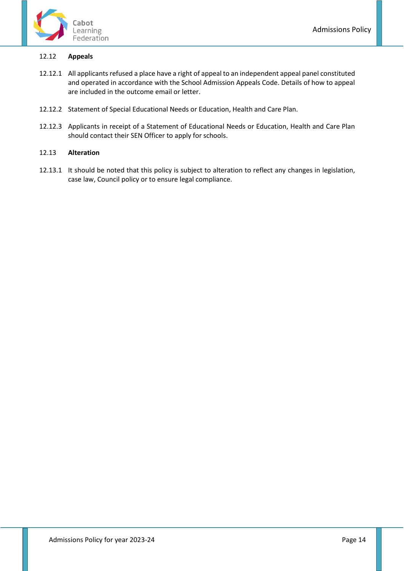

# 12.12 **Appeals**

- 12.12.1 All applicants refused a place have a right of appeal to an independent appeal panel constituted and operated in accordance with the School Admission Appeals Code. Details of how to appeal are included in the outcome email or letter.
- 12.12.2 Statement of Special Educational Needs or Education, Health and Care Plan.
- 12.12.3 Applicants in receipt of a Statement of Educational Needs or Education, Health and Care Plan should contact their SEN Officer to apply for schools.

## 12.13 **Alteration**

12.13.1 It should be noted that this policy is subject to alteration to reflect any changes in legislation, case law, Council policy or to ensure legal compliance.